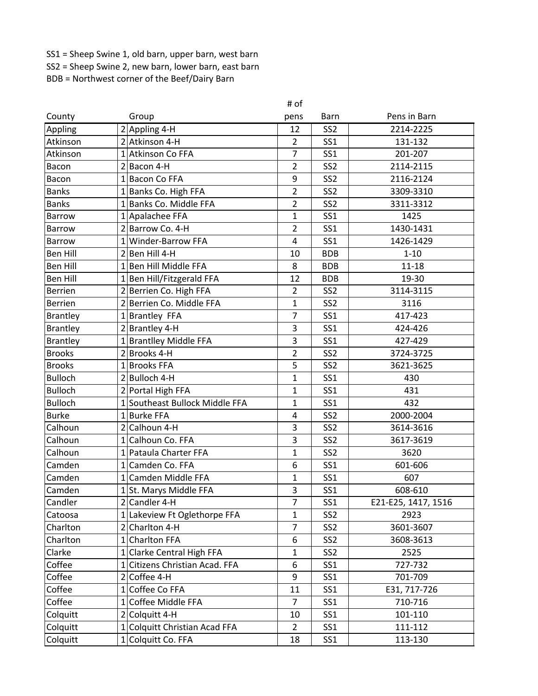SS1 = Sheep Swine 1, old barn, upper barn, west barn SS2 = Sheep Swine 2, new barn, lower barn, east barn

BDB = Northwest corner of the Beef/Dairy Barn

|                 |                                              | # of           |                 |                     |
|-----------------|----------------------------------------------|----------------|-----------------|---------------------|
| County          | Group                                        | pens           | Barn            | Pens in Barn        |
| Appling         | $2$ Appling 4-H                              | 12             | SS <sub>2</sub> | 2214-2225           |
| Atkinson        | 2 Atkinson 4-H                               | $\overline{2}$ | SS <sub>1</sub> | 131-132             |
| Atkinson        | 1 Atkinson Co FFA                            | $\overline{7}$ | SS1             | 201-207             |
| Bacon           | $2$ Bacon 4-H                                | $\overline{2}$ | SS <sub>2</sub> | 2114-2115           |
| Bacon           | 1 Bacon Co FFA                               | 9              | SS <sub>2</sub> | 2116-2124           |
| <b>Banks</b>    | 1 Banks Co. High FFA                         | $\overline{2}$ | SS <sub>2</sub> | 3309-3310           |
| <b>Banks</b>    | 1 Banks Co. Middle FFA                       | $\overline{2}$ | SS <sub>2</sub> | 3311-3312           |
| Barrow          | 1 Apalachee FFA                              | 1              | <b>SS1</b>      | 1425                |
| <b>Barrow</b>   | 2 Barrow Co. 4-H                             | 2              | <b>SS1</b>      | 1430-1431           |
| <b>Barrow</b>   | 1 Winder-Barrow FFA                          | 4              | <b>SS1</b>      | 1426-1429           |
| <b>Ben Hill</b> | $2$  Ben Hill 4-H                            | 10             | <b>BDB</b>      | $1 - 10$            |
| <b>Ben Hill</b> | Ben Hill Middle FFA<br>$\mathbf{1}$          | 8              | <b>BDB</b>      | $11 - 18$           |
| <b>Ben Hill</b> | 1 Ben Hill/Fitzgerald FFA                    | 12             | <b>BDB</b>      | 19-30               |
| <b>Berrien</b>  | 2 Berrien Co. High FFA                       | $\overline{2}$ | SS <sub>2</sub> | 3114-3115           |
| <b>Berrien</b>  | Berrien Co. Middle FFA<br>$\overline{2}$     | 1              | SS <sub>2</sub> | 3116                |
| <b>Brantley</b> | 1 Brantley FFA                               | 7              | <b>SS1</b>      | 417-423             |
| <b>Brantley</b> | 2 Brantley 4-H                               | 3              | <b>SS1</b>      | 424-426             |
| <b>Brantley</b> | 1 Brantlley Middle FFA                       | 3              | SS1             | 427-429             |
| <b>Brooks</b>   | 2 Brooks 4-H                                 | $\overline{2}$ | SS <sub>2</sub> | 3724-3725           |
| <b>Brooks</b>   | 1 Brooks FFA                                 | 5              | SS <sub>2</sub> | 3621-3625           |
| <b>Bulloch</b>  | 2 Bulloch 4-H                                | $\mathbf{1}$   | <b>SS1</b>      | 430                 |
| <b>Bulloch</b>  | 2 Portal High FFA                            | $\mathbf{1}$   | <b>SS1</b>      | 431                 |
| <b>Bulloch</b>  | Southeast Bullock Middle FFA<br>$\mathbf{1}$ | $\mathbf{1}$   | <b>SS1</b>      | 432                 |
| <b>Burke</b>    | 1 Burke FFA                                  | 4              | SS <sub>2</sub> | 2000-2004           |
| Calhoun         | 2 Calhoun 4-H                                | 3              | SS <sub>2</sub> | 3614-3616           |
| Calhoun         | 1 Calhoun Co. FFA                            | 3              | SS <sub>2</sub> | 3617-3619           |
| Calhoun         | 1 Pataula Charter FFA                        | 1              | SS <sub>2</sub> | 3620                |
| Camden          | 1 Camden Co. FFA                             | 6              | <b>SS1</b>      | 601-606             |
| Camden          | Camden Middle FFA<br>$1\vert$                | $\mathbf{1}$   | <b>SS1</b>      | 607                 |
| Camden          | 1St. Marys Middle FFA                        | 3              | SS1             | 608-610             |
| Candler         | $2$ Candler 4-H                              | $\overline{7}$ | SS <sub>1</sub> | E21-E25, 1417, 1516 |
| Catoosa         | 1 Lakeview Ft Oglethorpe FFA                 | $\mathbf{1}$   | SS <sub>2</sub> | 2923                |
| Charlton        | 2 Charlton 4-H                               | 7              | SS <sub>2</sub> | 3601-3607           |
| Charlton        | <b>Charlton FFA</b><br>$1\vert$              | 6              | SS <sub>2</sub> | 3608-3613           |
| Clarke          | 1 Clarke Central High FFA                    | 1              | SS <sub>2</sub> | 2525                |
| Coffee          | 1 Citizens Christian Acad. FFA               | 6              | SS <sub>1</sub> | 727-732             |
| Coffee          | $2$ Coffee 4-H                               | 9              | <b>SS1</b>      | 701-709             |
| Coffee          | 1 Coffee Co FFA                              | 11             | SS <sub>1</sub> | E31, 717-726        |
| Coffee          | 1 Coffee Middle FFA                          | $\overline{7}$ | SS <sub>1</sub> | 710-716             |
| Colquitt        | 2 Colquitt 4-H                               | 10             | SS <sub>1</sub> | 101-110             |
| Colquitt        | 1 Colquitt Christian Acad FFA                | $\overline{2}$ | SS1             | 111-112             |
| Colquitt        | 1 Colquitt Co. FFA                           | 18             | SS <sub>1</sub> | 113-130             |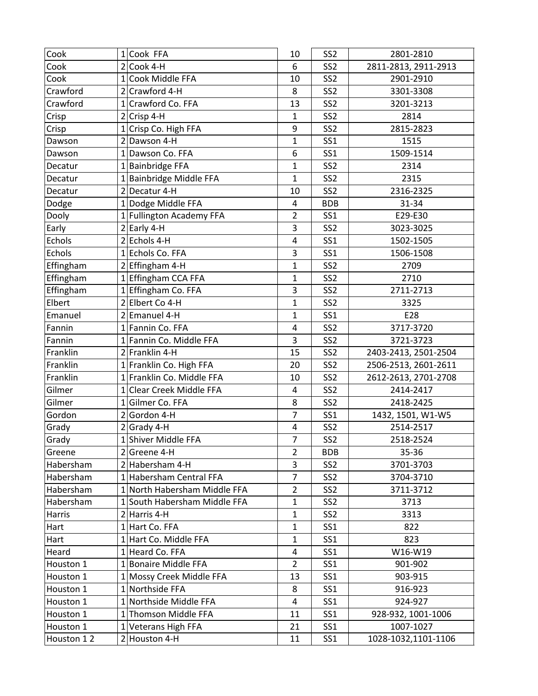| Cook       | 1 Cook FFA                   | 10                      | SS <sub>2</sub> | 2801-2810            |
|------------|------------------------------|-------------------------|-----------------|----------------------|
| Cook       | $2$ Cook 4-H                 | 6                       | SS <sub>2</sub> | 2811-2813, 2911-2913 |
| Cook       | 1 Cook Middle FFA            | 10                      | SS <sub>2</sub> | 2901-2910            |
| Crawford   | 2 Crawford 4-H               | 8                       | SS <sub>2</sub> | 3301-3308            |
| Crawford   | 1 Crawford Co. FFA           | 13                      | SS <sub>2</sub> | 3201-3213            |
| Crisp      | $2$ Crisp 4-H                | $\mathbf{1}$            | SS <sub>2</sub> | 2814                 |
| Crisp      | 1 Crisp Co. High FFA         | 9                       | SS <sub>2</sub> | 2815-2823            |
| Dawson     | 2 Dawson 4-H                 | $\mathbf{1}$            | <b>SS1</b>      | 1515                 |
| Dawson     | 1 Dawson Co. FFA             | 6                       | SS <sub>1</sub> | 1509-1514            |
| Decatur    | 1 Bainbridge FFA             | $\mathbf{1}$            | SS <sub>2</sub> | 2314                 |
| Decatur    | 1 Bainbridge Middle FFA      | $\mathbf{1}$            | SS <sub>2</sub> | 2315                 |
| Decatur    | 2 Decatur 4-H                | 10                      | SS <sub>2</sub> | 2316-2325            |
| Dodge      | 1 Dodge Middle FFA           | 4                       | <b>BDB</b>      | 31-34                |
| Dooly      | 1 Fullington Academy FFA     | $\overline{2}$          | <b>SS1</b>      | E29-E30              |
| Early      | $2$ Early 4-H                | 3                       | SS <sub>2</sub> | 3023-3025            |
| Echols     | 2 Echols 4-H                 | 4                       | <b>SS1</b>      | 1502-1505            |
| Echols     | 1 Echols Co. FFA             | 3                       | <b>SS1</b>      | 1506-1508            |
| Effingham  | $2$ Effingham 4-H            | $\mathbf{1}$            | SS <sub>2</sub> | 2709                 |
| Effingham  | 1 Effingham CCA FFA          | 1                       | SS <sub>2</sub> | 2710                 |
| Effingham  | 1 Effingham Co. FFA          | 3                       | SS <sub>2</sub> | 2711-2713            |
| Elbert     | 2 Elbert Co 4-H              | $\mathbf{1}$            | SS <sub>2</sub> | 3325                 |
| Emanuel    | 2 Emanuel 4-H                | $\mathbf{1}$            | <b>SS1</b>      | E28                  |
| Fannin     | 1 Fannin Co. FFA             | $\overline{\mathbf{4}}$ | SS <sub>2</sub> | 3717-3720            |
| Fannin     | 1 Fannin Co. Middle FFA      | 3                       | SS <sub>2</sub> | 3721-3723            |
| Franklin   | 2 Franklin 4-H               | 15                      | SS <sub>2</sub> | 2403-2413, 2501-2504 |
| Franklin   | 1 Franklin Co. High FFA      | 20                      | SS <sub>2</sub> | 2506-2513, 2601-2611 |
| Franklin   | 1 Franklin Co. Middle FFA    | 10                      | SS <sub>2</sub> | 2612-2613, 2701-2708 |
| Gilmer     | 1 Clear Creek Middle FFA     | 4                       | SS <sub>2</sub> | 2414-2417            |
| Gilmer     | 1 Gilmer Co. FFA             | 8                       | SS <sub>2</sub> | 2418-2425            |
| Gordon     | $2 $ Gordon 4-H              | $\overline{7}$          | SS <sub>1</sub> | 1432, 1501, W1-W5    |
| Grady      | $2$ Grady 4-H                | $\overline{\mathbf{4}}$ | SS <sub>2</sub> | 2514-2517            |
| Grady      | 1 Shiver Middle FFA          | $\overline{7}$          | SS <sub>2</sub> | 2518-2524            |
| Greene     | $2$ Greene 4-H               | $\overline{2}$          | <b>BDB</b>      | 35-36                |
| Habersham  | 2 Habersham 4-H              | 3                       | SS <sub>2</sub> | 3701-3703            |
| Habersham  | 1 Habersham Central FFA      | $\overline{7}$          | SS <sub>2</sub> | 3704-3710            |
| Habersham  | 1 North Habersham Middle FFA | $\overline{2}$          | SS <sub>2</sub> | 3711-3712            |
| Habersham  | 1 South Habersham Middle FFA | 1                       | SS <sub>2</sub> | 3713                 |
| Harris     | $2$ Harris 4-H               | $\mathbf{1}$            | SS <sub>2</sub> | 3313                 |
| Hart       | 1 Hart Co. FFA               | $\mathbf{1}$            | SS <sub>1</sub> | 822                  |
| Hart       | 1 Hart Co. Middle FFA        | $\mathbf 1$             | <b>SS1</b>      | 823                  |
| Heard      | 1 Heard Co. FFA              | $\overline{\mathbf{4}}$ | <b>SS1</b>      | W16-W19              |
| Houston 1  | 1 Bonaire Middle FFA         | $\overline{2}$          | <b>SS1</b>      | 901-902              |
| Houston 1  | 1 Mossy Creek Middle FFA     | 13                      | <b>SS1</b>      | 903-915              |
| Houston 1  | 1 Northside FFA              | 8                       | SS <sub>1</sub> | 916-923              |
| Houston 1  | 1 Northside Middle FFA       | 4                       | SS <sub>1</sub> | 924-927              |
| Houston 1  | 1 Thomson Middle FFA         | 11                      | SS <sub>1</sub> | 928-932, 1001-1006   |
| Houston 1  | 1 Veterans High FFA          | 21                      | SS1             | 1007-1027            |
| Houston 12 | 2 Houston 4-H                | 11                      | SS1             | 1028-1032,1101-1106  |
|            |                              |                         |                 |                      |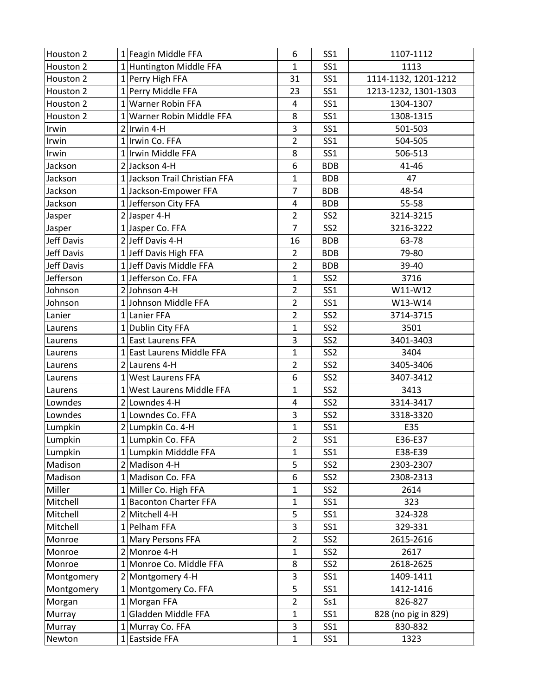| Houston 2         | 1 Feagin Middle FFA           | 6                       | SS <sub>1</sub> | 1107-1112            |
|-------------------|-------------------------------|-------------------------|-----------------|----------------------|
| Houston 2         | 1 Huntington Middle FFA       | $\mathbf{1}$            | <b>SS1</b>      | 1113                 |
| Houston 2         | 1 Perry High FFA              | 31                      | <b>SS1</b>      | 1114-1132, 1201-1212 |
| Houston 2         | 1 Perry Middle FFA            | 23                      | <b>SS1</b>      | 1213-1232, 1301-1303 |
| Houston 2         | 1 Warner Robin FFA            | 4                       | <b>SS1</b>      | 1304-1307            |
| Houston 2         | 1 Warner Robin Middle FFA     | 8                       | <b>SS1</b>      | 1308-1315            |
| Irwin             | $2$  Irwin 4-H                | 3                       | <b>SS1</b>      | 501-503              |
| Irwin             | 1 Irwin Co. FFA               | $\overline{2}$          | <b>SS1</b>      | 504-505              |
| Irwin             | 1 Irwin Middle FFA            | 8                       | <b>SS1</b>      | 506-513              |
| Jackson           | 2 Jackson 4-H                 | 6                       | <b>BDB</b>      | 41-46                |
| Jackson           | 1 Jackson Trail Christian FFA | $\mathbf{1}$            | <b>BDB</b>      | 47                   |
| Jackson           | 1 Jackson-Empower FFA         | $\overline{7}$          | <b>BDB</b>      | 48-54                |
| Jackson           | 1 Jefferson City FFA          | $\overline{\mathbf{4}}$ | <b>BDB</b>      | 55-58                |
| Jasper            | $2$ Jasper 4-H                | $\overline{2}$          | SS <sub>2</sub> | 3214-3215            |
| Jasper            | 1 Jasper Co. FFA              | $\overline{7}$          | SS <sub>2</sub> | 3216-3222            |
| Jeff Davis        | 2 Jeff Davis 4-H              | 16                      | <b>BDB</b>      | 63-78                |
| <b>Jeff Davis</b> | 1 Jeff Davis High FFA         | $\overline{2}$          | <b>BDB</b>      | 79-80                |
| Jeff Davis        | 1 Jeff Davis Middle FFA       | $\overline{2}$          | <b>BDB</b>      | 39-40                |
| Jefferson         | 1 Jefferson Co. FFA           | $\mathbf{1}$            | SS <sub>2</sub> | 3716                 |
| Johnson           | 2 Johnson 4-H                 | $\overline{2}$          | <b>SS1</b>      | W11-W12              |
| Johnson           | 1 Johnson Middle FFA          | $\overline{2}$          | <b>SS1</b>      | W13-W14              |
| Lanier            | 1 Lanier FFA                  | $\overline{2}$          | SS <sub>2</sub> | 3714-3715            |
| Laurens           | 1 Dublin City FFA             | $\mathbf{1}$            | SS <sub>2</sub> | 3501                 |
| Laurens           | 1 East Laurens FFA            | 3                       | SS <sub>2</sub> | 3401-3403            |
| Laurens           | 1 East Laurens Middle FFA     | $\mathbf{1}$            | SS <sub>2</sub> | 3404                 |
| Laurens           | 2 Laurens 4-H                 | $\overline{2}$          | SS <sub>2</sub> | 3405-3406            |
| Laurens           | 1 West Laurens FFA            | 6                       | SS <sub>2</sub> | 3407-3412            |
| Laurens           | 1 West Laurens Middle FFA     | $\mathbf{1}$            | SS <sub>2</sub> | 3413                 |
| Lowndes           | 2 Lowndes 4-H                 | 4                       | SS <sub>2</sub> | 3314-3417            |
| Lowndes           | 1 Lowndes Co. FFA             | 3                       | SS <sub>2</sub> | 3318-3320            |
| Lumpkin           | 2 Lumpkin Co. 4-H             | $\mathbf{1}$            | <b>SS1</b>      | E35                  |
| Lumpkin           | 1 Lumpkin Co. FFA             | $\overline{2}$          | <b>SS1</b>      | E36-E37              |
| Lumpkin           | 1 Lumpkin Midddle FFA         | $\mathbf{1}$            | SS <sub>1</sub> | E38-E39              |
| Madison           | 2 Madison 4-H                 | 5                       | SS <sub>2</sub> | 2303-2307            |
| Madison           | 1 Madison Co. FFA             | 6                       | SS <sub>2</sub> | 2308-2313            |
| Miller            | 1 Miller Co. High FFA         | $\mathbf 1$             | SS <sub>2</sub> | 2614                 |
| Mitchell          | 1 Baconton Charter FFA        | $\mathbf{1}$            | <b>SS1</b>      | 323                  |
| Mitchell          | 2 Mitchell 4-H                | 5                       | SS <sub>1</sub> | 324-328              |
| Mitchell          | 1 Pelham FFA                  | 3                       | SS <sub>1</sub> | 329-331              |
| Monroe            | 1 Mary Persons FFA            | $\overline{2}$          | SS <sub>2</sub> | 2615-2616            |
| Monroe            | 2 Monroe 4-H                  | 1                       | SS <sub>2</sub> | 2617                 |
| Monroe            | 1 Monroe Co. Middle FFA       | 8                       | SS <sub>2</sub> | 2618-2625            |
| Montgomery        | 2 Montgomery 4-H              | 3                       | SS <sub>1</sub> | 1409-1411            |
| Montgomery        | 1 Montgomery Co. FFA          | 5                       | <b>SS1</b>      | 1412-1416            |
| Morgan            | 1 Morgan FFA                  | $\overline{2}$          | Ss1             | 826-827              |
| Murray            | 1 Gladden Middle FFA          | 1                       | SS <sub>1</sub> | 828 (no pig in 829)  |
| Murray            | 1 Murray Co. FFA              | 3                       | <b>SS1</b>      | 830-832              |
| Newton            | 1 Eastside FFA                | $\mathbf{1}$            | SS <sub>1</sub> | 1323                 |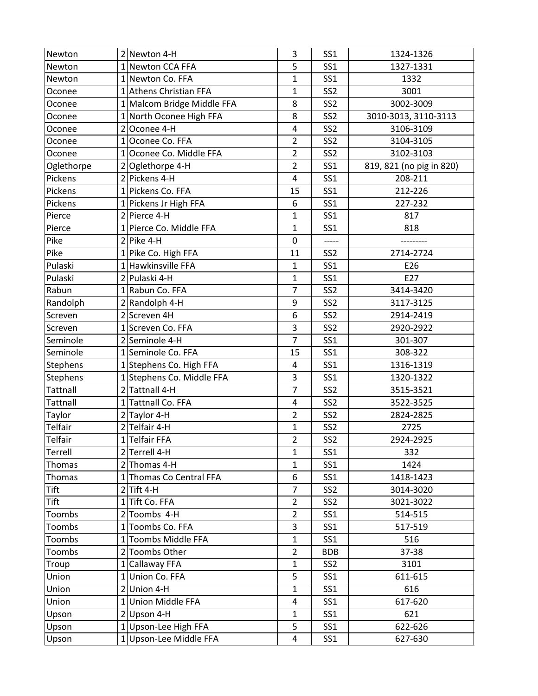| Newton     |                | 2 Newton 4-H               | 3              | <b>SS1</b>      | 1324-1326                |
|------------|----------------|----------------------------|----------------|-----------------|--------------------------|
| Newton     |                | 1 Newton CCA FFA           | 5              | <b>SS1</b>      | 1327-1331                |
| Newton     |                | 1 Newton Co. FFA           | 1              | <b>SS1</b>      | 1332                     |
| Oconee     |                | 1 Athens Christian FFA     | 1              | SS <sub>2</sub> | 3001                     |
| Oconee     |                | 1 Malcom Bridge Middle FFA | 8              | SS <sub>2</sub> | 3002-3009                |
| Oconee     |                | 1 North Oconee High FFA    | 8              | SS <sub>2</sub> | 3010-3013, 3110-3113     |
| Oconee     | $\overline{2}$ | Oconee 4-H                 | 4              | SS <sub>2</sub> | 3106-3109                |
| Oconee     |                | 1 Oconee Co. FFA           | $\overline{2}$ | SS <sub>2</sub> | 3104-3105                |
| Oconee     | $\mathbf{1}$   | Oconee Co. Middle FFA      | $\overline{2}$ | SS <sub>2</sub> | 3102-3103                |
| Oglethorpe | $\overline{2}$ | Oglethorpe 4-H             | $\overline{2}$ | <b>SS1</b>      | 819, 821 (no pig in 820) |
| Pickens    |                | 2 Pickens 4-H              | 4              | <b>SS1</b>      | 208-211                  |
| Pickens    |                | 1 Pickens Co. FFA          | 15             | <b>SS1</b>      | 212-226                  |
| Pickens    |                | 1 Pickens Jr High FFA      | 6              | <b>SS1</b>      | 227-232                  |
| Pierce     |                | 2 Pierce 4-H               | $\mathbf 1$    | <b>SS1</b>      | 817                      |
| Pierce     |                | 1 Pierce Co. Middle FFA    | $\mathbf{1}$   | <b>SS1</b>      | 818                      |
| Pike       |                | $2$ Pike 4-H               | $\mathbf 0$    | -----           |                          |
| Pike       |                | 1 Pike Co. High FFA        | 11             | SS <sub>2</sub> | 2714-2724                |
| Pulaski    |                | 1 Hawkinsville FFA         | $\mathbf 1$    | <b>SS1</b>      | E26                      |
| Pulaski    |                | 2 Pulaski 4-H              | 1              | <b>SS1</b>      | E27                      |
| Rabun      |                | 1 Rabun Co. FFA            | $\overline{7}$ | SS <sub>2</sub> | 3414-3420                |
| Randolph   |                | 2 Randolph 4-H             | 9              | SS <sub>2</sub> | 3117-3125                |
| Screven    |                | 2 Screven 4H               | 6              | SS <sub>2</sub> | 2914-2419                |
| Screven    |                | 1 Screven Co. FFA          | 3              | SS <sub>2</sub> | 2920-2922                |
| Seminole   |                | 2 Seminole 4-H             | $\overline{7}$ | <b>SS1</b>      | 301-307                  |
| Seminole   |                | 1 Seminole Co. FFA         | 15             | <b>SS1</b>      | 308-322                  |
| Stephens   |                | 1 Stephens Co. High FFA    | 4              | <b>SS1</b>      | 1316-1319                |
| Stephens   |                | 1 Stephens Co. Middle FFA  | 3              | <b>SS1</b>      | 1320-1322                |
| Tattnall   |                | 2 Tattnall 4-H             | $\overline{7}$ | SS <sub>2</sub> | 3515-3521                |
| Tattnall   |                | 1 Tattnall Co. FFA         | 4              | SS <sub>2</sub> | 3522-3525                |
| Taylor     |                | $2$ Taylor 4-H             | $\overline{2}$ | SS <sub>2</sub> | 2824-2825                |
| Telfair    |                | $2$ Telfair 4-H            | $\mathbf{1}$   | SS <sub>2</sub> | 2725                     |
| Telfair    |                | 1 Telfair FFA              | $\overline{2}$ | SS <sub>2</sub> | 2924-2925                |
| Terrell    |                | $2$ Terrell 4-H            | $\mathbf{1}$   | SS <sub>1</sub> | 332                      |
| Thomas     |                | 2 Thomas 4-H               | $\mathbf 1$    | <b>SS1</b>      | 1424                     |
| Thomas     |                | 1 Thomas Co Central FFA    | 6              | SS <sub>1</sub> | 1418-1423                |
| Tift       |                | $2$ Tift 4-H               | $\overline{7}$ | SS <sub>2</sub> | 3014-3020                |
| Tift       |                | 1Tift Co. FFA              | $\overline{2}$ | SS <sub>2</sub> | 3021-3022                |
| Toombs     |                | 2 Toombs 4-H               | $\overline{2}$ | SS <sub>1</sub> | 514-515                  |
| Toombs     |                | 1 Toombs Co. FFA           | 3              | SS <sub>1</sub> | 517-519                  |
| Toombs     |                | 1 Toombs Middle FFA        | $\mathbf 1$    | <b>SS1</b>      | 516                      |
| Toombs     |                | 2 Toombs Other             | $\overline{2}$ | <b>BDB</b>      | 37-38                    |
| Troup      |                | 1 Callaway FFA             | $\mathbf{1}$   | SS <sub>2</sub> | 3101                     |
| Union      |                | 1 Union Co. FFA            | 5              | SS <sub>1</sub> | 611-615                  |
| Union      |                | $2$ Union 4-H              | 1              | <b>SS1</b>      | 616                      |
| Union      | 1 <sup>1</sup> | <b>Union Middle FFA</b>    | 4              | SS <sub>1</sub> | 617-620                  |
| Upson      |                | $2$ Upson 4-H              | $\mathbf{1}$   | SS <sub>1</sub> | 621                      |
| Upson      |                | 1 Upson-Lee High FFA       | 5              | SS <sub>1</sub> | 622-626                  |
| Upson      |                | 1 Upson-Lee Middle FFA     | 4              | SS <sub>1</sub> | 627-630                  |
|            |                |                            |                |                 |                          |